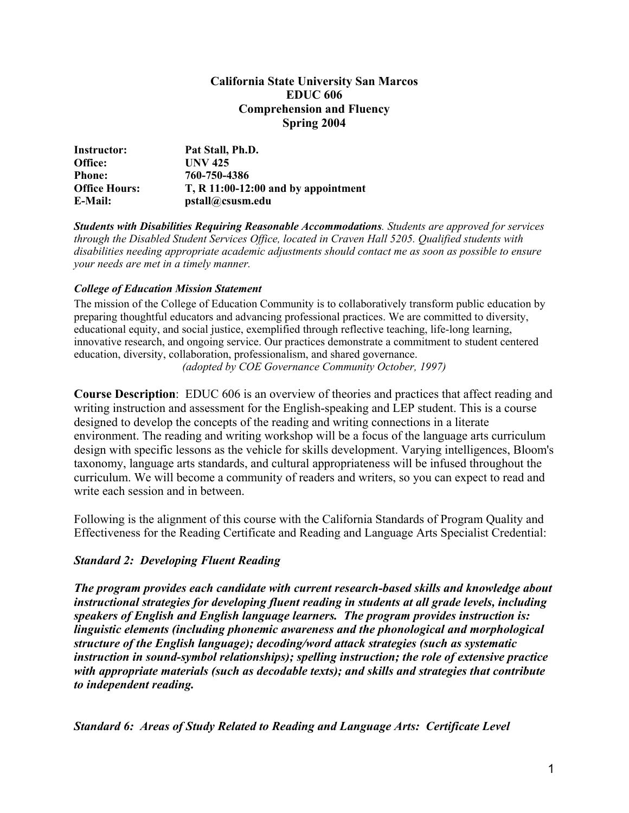### **California State University San Marcos EDUC 606 Comprehension and Fluency Spring 2004**

| Instructor:          | Pat Stall, Ph.D.                      |
|----------------------|---------------------------------------|
| Office:              | <b>UNV 425</b>                        |
| <b>Phone:</b>        | 760-750-4386                          |
| <b>Office Hours:</b> | $T, R 11:00-12:00$ and by appointment |
| E-Mail:              | pstall@csusm.edu                      |

*Students with Disabilities Requiring Reasonable Accommodations. Students are approved for services through the Disabled Student Services Office, located in Craven Hall 5205. Qualified students with disabilities needing appropriate academic adjustments should contact me as soon as possible to ensure your needs are met in a timely manner.* 

### *College of Education Mission Statement*

The mission of the College of Education Community is to collaboratively transform public education by preparing thoughtful educators and advancing professional practices. We are committed to diversity, educational equity, and social justice, exemplified through reflective teaching, life-long learning, innovative research, and ongoing service. Our practices demonstrate a commitment to student centered education, diversity, collaboration, professionalism, and shared governance. *(adopted by COE Governance Community October, 1997)*

**Course Description**: EDUC 606 is an overview of theories and practices that affect reading and writing instruction and assessment for the English-speaking and LEP student. This is a course designed to develop the concepts of the reading and writing connections in a literate environment. The reading and writing workshop will be a focus of the language arts curriculum design with specific lessons as the vehicle for skills development. Varying intelligences, Bloom's taxonomy, language arts standards, and cultural appropriateness will be infused throughout the curriculum. We will become a community of readers and writers, so you can expect to read and write each session and in between.

Following is the alignment of this course with the California Standards of Program Quality and Effectiveness for the Reading Certificate and Reading and Language Arts Specialist Credential:

### *Standard 2: Developing Fluent Reading*

*The program provides each candidate with current research-based skills and knowledge about instructional strategies for developing fluent reading in students at all grade levels, including speakers of English and English language learners. The program provides instruction is: linguistic elements (including phonemic awareness and the phonological and morphological structure of the English language); decoding/word attack strategies (such as systematic instruction in sound-symbol relationships); spelling instruction; the role of extensive practice with appropriate materials (such as decodable texts); and skills and strategies that contribute to independent reading.* 

*Standard 6: Areas of Study Related to Reading and Language Arts: Certificate Level*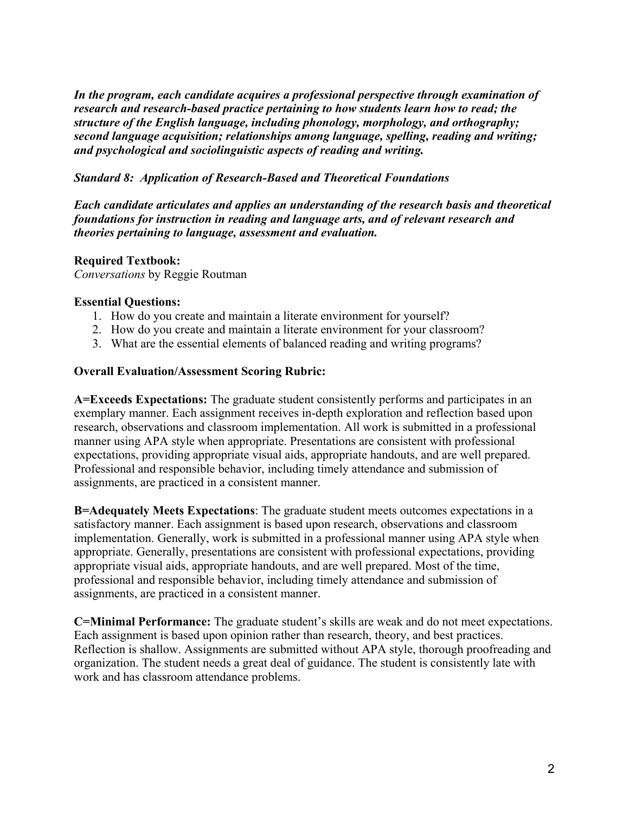*In the program, each candidate acquires a professional perspective through examination of research and research-based practice pertaining to how students learn how to read; the structure of the English language, including phonology, morphology, and orthography; second language acquisition; relationships among language, spelling, reading and writing; and psychological and sociolinguistic aspects of reading and writing.*

## *Standard 8: Application of Research-Based and Theoretical Foundations*

*Each candidate articulates and applies an understanding of the research basis and theoretical foundations for instruction in reading and language arts, and of relevant research and theories pertaining to language, assessment and evaluation.* 

### **Required Textbook:**

*Conversations* by Reggie Routman

### **Essential Questions:**

- 1. How do you create and maintain a literate environment for yourself?
- 2. How do you create and maintain a literate environment for your classroom?
- 3. What are the essential elements of balanced reading and writing programs?

### **Overall Evaluation/Assessment Scoring Rubric:**

**A=Exceeds Expectations:** The graduate student consistently performs and participates in an exemplary manner. Each assignment receives in-depth exploration and reflection based upon research, observations and classroom implementation. All work is submitted in a professional manner using APA style when appropriate. Presentations are consistent with professional expectations, providing appropriate visual aids, appropriate handouts, and are well prepared. Professional and responsible behavior, including timely attendance and submission of assignments, are practiced in a consistent manner.

**B=Adequately Meets Expectations**: The graduate student meets outcomes expectations in a satisfactory manner. Each assignment is based upon research, observations and classroom implementation. Generally, work is submitted in a professional manner using APA style when appropriate. Generally, presentations are consistent with professional expectations, providing appropriate visual aids, appropriate handouts, and are well prepared. Most of the time, professional and responsible behavior, including timely attendance and submission of assignments, are practiced in a consistent manner.

**C=Minimal Performance:** The graduate student's skills are weak and do not meet expectations. Each assignment is based upon opinion rather than research, theory, and best practices. Reflection is shallow. Assignments are submitted without APA style, thorough proofreading and organization. The student needs a great deal of guidance. The student is consistently late with work and has classroom attendance problems.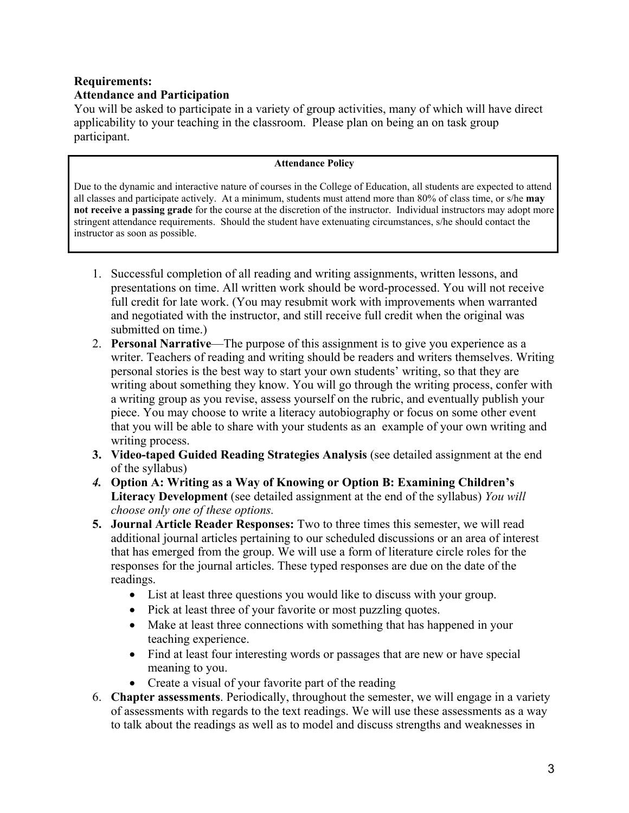# **Requirements: Attendance and Participation**

You will be asked to participate in a variety of group activities, many of which will have direct applicability to your teaching in the classroom. Please plan on being an on task group participant.

#### **Attendance Policy**

Due to the dynamic and interactive nature of courses in the College of Education, all students are expected to attend all classes and participate actively. At a minimum, students must attend more than 80% of class time, or s/he **may not receive a passing grade** for the course at the discretion of the instructor. Individual instructors may adopt more stringent attendance requirements. Should the student have extenuating circumstances, s/he should contact the instructor as soon as possible.

- 1. Successful completion of all reading and writing assignments, written lessons, and presentations on time. All written work should be word-processed. You will not receive full credit for late work. (You may resubmit work with improvements when warranted and negotiated with the instructor, and still receive full credit when the original was submitted on time.)
- 2. **Personal Narrative**—The purpose of this assignment is to give you experience as a writer. Teachers of reading and writing should be readers and writers themselves. Writing personal stories is the best way to start your own students' writing, so that they are writing about something they know. You will go through the writing process, confer with a writing group as you revise, assess yourself on the rubric, and eventually publish your piece. You may choose to write a literacy autobiography or focus on some other event that you will be able to share with your students as an example of your own writing and writing process.
- **3. Video-taped Guided Reading Strategies Analysis** (see detailed assignment at the end of the syllabus)
- *4.* **Option A: Writing as a Way of Knowing or Option B: Examining Children's Literacy Development** (see detailed assignment at the end of the syllabus) *You will choose only one of these options.*
- **5. Journal Article Reader Responses:** Two to three times this semester, we will read additional journal articles pertaining to our scheduled discussions or an area of interest that has emerged from the group. We will use a form of literature circle roles for the responses for the journal articles. These typed responses are due on the date of the readings.
	- List at least three questions you would like to discuss with your group.
	- Pick at least three of your favorite or most puzzling quotes.
	- Make at least three connections with something that has happened in your teaching experience.
	- Find at least four interesting words or passages that are new or have special meaning to you.
	- Create a visual of your favorite part of the reading
- 6. **Chapter assessments**. Periodically, throughout the semester, we will engage in a variety of assessments with regards to the text readings. We will use these assessments as a way to talk about the readings as well as to model and discuss strengths and weaknesses in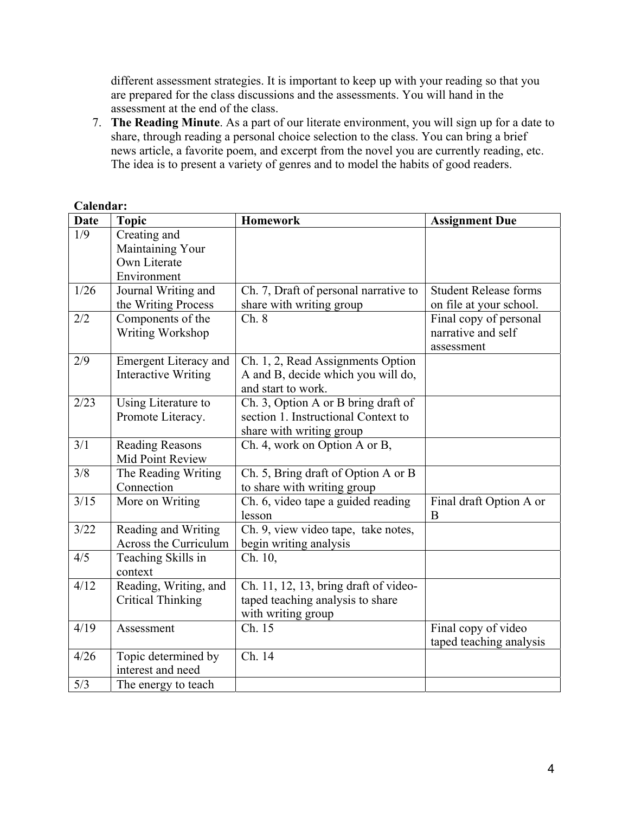different assessment strategies. It is important to keep up with your reading so that you are prepared for the class discussions and the assessments. You will hand in the assessment at the end of the class.

7. **The Reading Minute**. As a part of our literate environment, you will sign up for a date to share, through reading a personal choice selection to the class. You can bring a brief news article, a favorite poem, and excerpt from the novel you are currently reading, etc. The idea is to present a variety of genres and to model the habits of good readers.

| <b>Date</b>    | <b>Topic</b>                                                    | <b>Homework</b>                                                                                        | <b>Assignment Due</b>                                      |
|----------------|-----------------------------------------------------------------|--------------------------------------------------------------------------------------------------------|------------------------------------------------------------|
| 1/9            | Creating and<br>Maintaining Your<br>Own Literate<br>Environment |                                                                                                        |                                                            |
| 1/26           | Journal Writing and<br>the Writing Process                      | Ch. 7, Draft of personal narrative to<br>share with writing group                                      | <b>Student Release forms</b><br>on file at your school.    |
| 2/2            | Components of the<br>Writing Workshop                           | Ch.8                                                                                                   | Final copy of personal<br>narrative and self<br>assessment |
| 2/9            | <b>Emergent Literacy and</b><br><b>Interactive Writing</b>      | Ch. 1, 2, Read Assignments Option<br>A and B, decide which you will do,<br>and start to work.          |                                                            |
| 2/23           | Using Literature to<br>Promote Literacy.                        | Ch. 3, Option A or B bring draft of<br>section 1. Instructional Context to<br>share with writing group |                                                            |
| 3/1            | <b>Reading Reasons</b><br>Mid Point Review                      | Ch. 4, work on Option A or B,                                                                          |                                                            |
| 3/8            | The Reading Writing<br>Connection                               | Ch. 5, Bring draft of Option A or B<br>to share with writing group                                     |                                                            |
| $\frac{3}{15}$ | More on Writing                                                 | Ch. 6, video tape a guided reading<br>lesson                                                           | Final draft Option A or<br>B                               |
| 3/22           | Reading and Writing<br>Across the Curriculum                    | Ch. 9, view video tape, take notes,<br>begin writing analysis                                          |                                                            |
| 4/5            | Teaching Skills in<br>context                                   | Ch. 10,                                                                                                |                                                            |
| 4/12           | Reading, Writing, and<br><b>Critical Thinking</b>               | Ch. 11, 12, 13, bring draft of video-<br>taped teaching analysis to share<br>with writing group        |                                                            |
| 4/19           | Assessment                                                      | $\overline{Ch. 15}$                                                                                    | Final copy of video<br>taped teaching analysis             |
| 4/26           | Topic determined by<br>interest and need                        | Ch. 14                                                                                                 |                                                            |
| 5/3            | The energy to teach                                             |                                                                                                        |                                                            |

**Calendar:**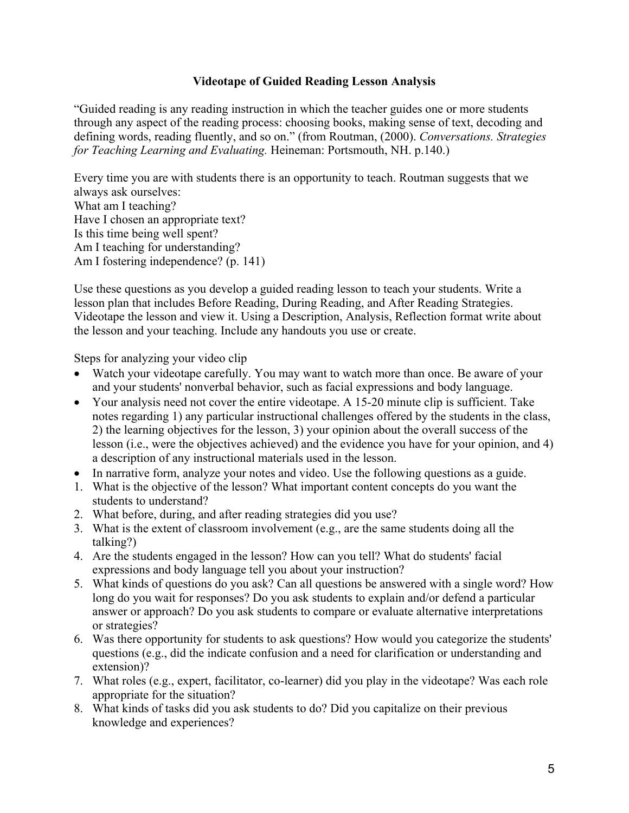## **Videotape of Guided Reading Lesson Analysis**

"Guided reading is any reading instruction in which the teacher guides one or more students through any aspect of the reading process: choosing books, making sense of text, decoding and defining words, reading fluently, and so on." (from Routman, (2000). *Conversations. Strategies for Teaching Learning and Evaluating.* Heineman: Portsmouth, NH. p.140.)

Every time you are with students there is an opportunity to teach. Routman suggests that we always ask ourselves: What am I teaching? Have I chosen an appropriate text? Is this time being well spent? Am I teaching for understanding? Am I fostering independence? (p. 141)

Use these questions as you develop a guided reading lesson to teach your students. Write a lesson plan that includes Before Reading, During Reading, and After Reading Strategies. Videotape the lesson and view it. Using a Description, Analysis, Reflection format write about the lesson and your teaching. Include any handouts you use or create.

Steps for analyzing your video clip

- Watch your videotape carefully. You may want to watch more than once. Be aware of your and your students' nonverbal behavior, such as facial expressions and body language.
- Your analysis need not cover the entire videotape. A 15-20 minute clip is sufficient. Take notes regarding 1) any particular instructional challenges offered by the students in the class, 2) the learning objectives for the lesson, 3) your opinion about the overall success of the lesson (i.e., were the objectives achieved) and the evidence you have for your opinion, and 4) a description of any instructional materials used in the lesson.
- In narrative form, analyze your notes and video. Use the following questions as a guide.
- 1. What is the objective of the lesson? What important content concepts do you want the students to understand?
- 2. What before, during, and after reading strategies did you use?
- 3. What is the extent of classroom involvement (e.g., are the same students doing all the talking?)
- 4. Are the students engaged in the lesson? How can you tell? What do students' facial expressions and body language tell you about your instruction?
- 5. What kinds of questions do you ask? Can all questions be answered with a single word? How long do you wait for responses? Do you ask students to explain and/or defend a particular answer or approach? Do you ask students to compare or evaluate alternative interpretations or strategies?
- 6. Was there opportunity for students to ask questions? How would you categorize the students' questions (e.g., did the indicate confusion and a need for clarification or understanding and extension)?
- 7. What roles (e.g., expert, facilitator, co-learner) did you play in the videotape? Was each role appropriate for the situation?
- 8. What kinds of tasks did you ask students to do? Did you capitalize on their previous knowledge and experiences?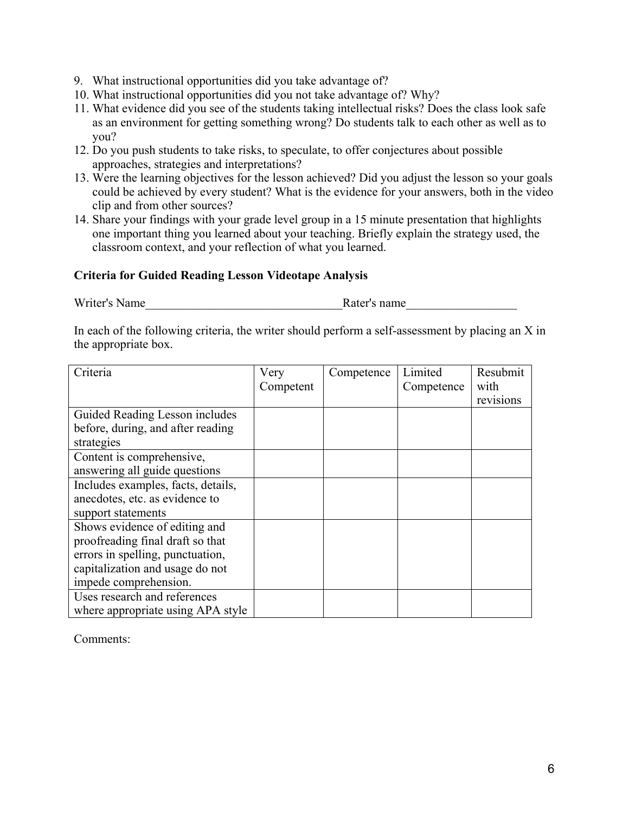- 9. What instructional opportunities did you take advantage of?
- 10. What instructional opportunities did you not take advantage of? Why?
- 11. What evidence did you see of the students taking intellectual risks? Does the class look safe as an environment for getting something wrong? Do students talk to each other as well as to you?
- 12. Do you push students to take risks, to speculate, to offer conjectures about possible approaches, strategies and interpretations?
- 13. Were the learning objectives for the lesson achieved? Did you adjust the lesson so your goals could be achieved by every student? What is the evidence for your answers, both in the video clip and from other sources?
- 14. Share your findings with your grade level group in a 15 minute presentation that highlights one important thing you learned about your teaching. Briefly explain the strategy used, the classroom context, and your reflection of what you learned.

### **Criteria for Guided Reading Lesson Videotape Analysis**

Writer's Name **Name** Rater's name

In each of the following criteria, the writer should perform a self-assessment by placing an X in the appropriate box.

| Criteria                           | Very      | Competence | Limited    | Resubmit  |
|------------------------------------|-----------|------------|------------|-----------|
|                                    | Competent |            | Competence | with      |
|                                    |           |            |            | revisions |
| Guided Reading Lesson includes     |           |            |            |           |
| before, during, and after reading  |           |            |            |           |
| strategies                         |           |            |            |           |
| Content is comprehensive,          |           |            |            |           |
| answering all guide questions      |           |            |            |           |
| Includes examples, facts, details, |           |            |            |           |
| anecdotes, etc. as evidence to     |           |            |            |           |
| support statements                 |           |            |            |           |
| Shows evidence of editing and      |           |            |            |           |
| proofreading final draft so that   |           |            |            |           |
| errors in spelling, punctuation,   |           |            |            |           |
| capitalization and usage do not    |           |            |            |           |
| impede comprehension.              |           |            |            |           |
| Uses research and references       |           |            |            |           |
| where appropriate using APA style  |           |            |            |           |

Comments: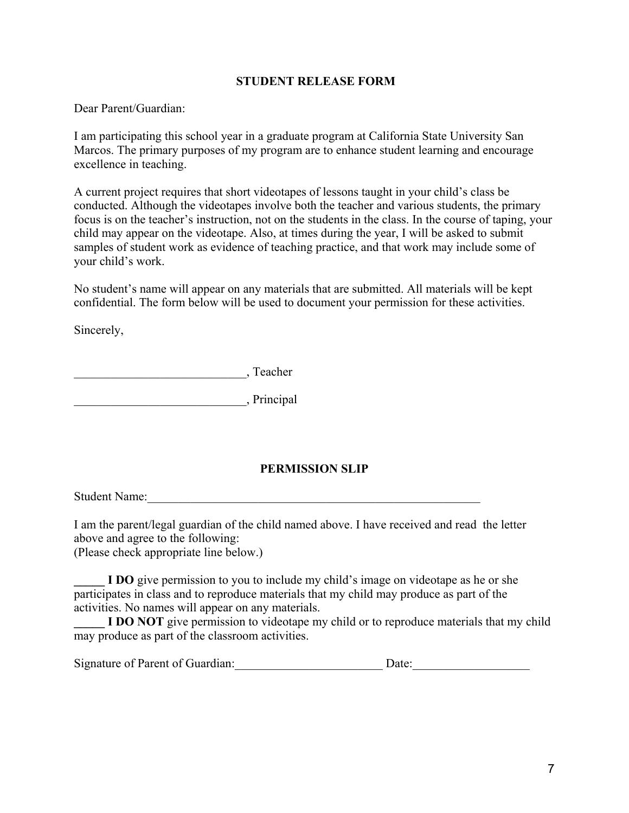### **STUDENT RELEASE FORM**

Dear Parent/Guardian:

I am participating this school year in a graduate program at California State University San Marcos. The primary purposes of my program are to enhance student learning and encourage excellence in teaching.

A current project requires that short videotapes of lessons taught in your child's class be conducted. Although the videotapes involve both the teacher and various students, the primary focus is on the teacher's instruction, not on the students in the class. In the course of taping, your child may appear on the videotape. Also, at times during the year, I will be asked to submit samples of student work as evidence of teaching practice, and that work may include some of your child's work.

No student's name will appear on any materials that are submitted. All materials will be kept confidential. The form below will be used to document your permission for these activities.

Sincerely,

\_\_\_\_\_\_\_\_\_\_\_\_\_\_\_\_\_\_\_\_\_\_\_\_\_\_\_\_, Teacher

\_\_\_\_\_\_\_\_\_\_\_\_\_\_\_\_\_\_\_\_\_\_\_\_\_\_\_\_, Principal

## **PERMISSION SLIP**

Student Name:

I am the parent/legal guardian of the child named above. I have received and read the letter above and agree to the following:

(Please check appropriate line below.)

**I DO** give permission to you to include my child's image on videotape as he or she participates in class and to reproduce materials that my child may produce as part of the activities. No names will appear on any materials.

**I DO NOT** give permission to videotape my child or to reproduce materials that my child may produce as part of the classroom activities.

|  | Signature of Parent of Guardian: |  | Date: |
|--|----------------------------------|--|-------|
|--|----------------------------------|--|-------|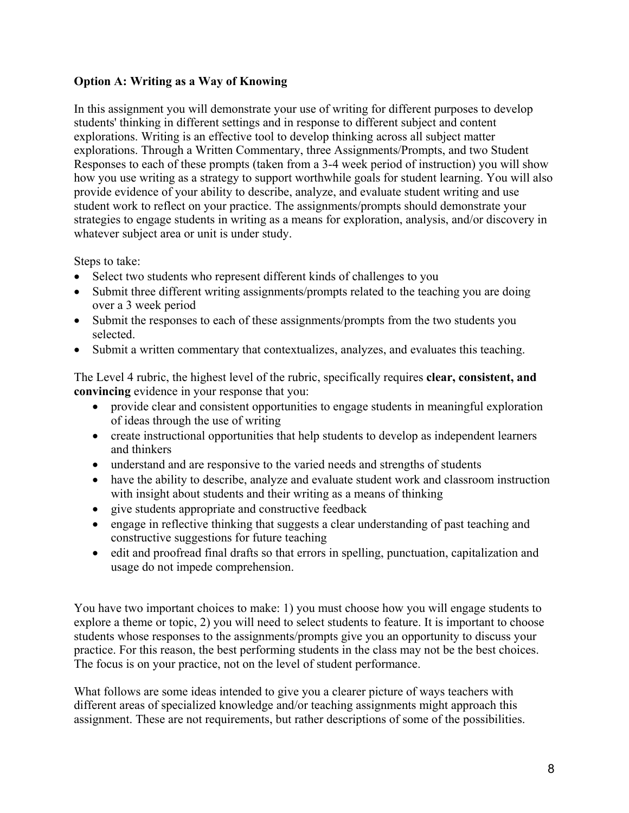# **Option A: Writing as a Way of Knowing**

In this assignment you will demonstrate your use of writing for different purposes to develop students' thinking in different settings and in response to different subject and content explorations. Writing is an effective tool to develop thinking across all subject matter explorations. Through a Written Commentary, three Assignments/Prompts, and two Student Responses to each of these prompts (taken from a 3-4 week period of instruction) you will show how you use writing as a strategy to support worthwhile goals for student learning. You will also provide evidence of your ability to describe, analyze, and evaluate student writing and use student work to reflect on your practice. The assignments/prompts should demonstrate your strategies to engage students in writing as a means for exploration, analysis, and/or discovery in whatever subject area or unit is under study.

Steps to take:

- Select two students who represent different kinds of challenges to you
- Submit three different writing assignments/prompts related to the teaching you are doing over a 3 week period
- Submit the responses to each of these assignments/prompts from the two students you selected.
- Submit a written commentary that contextualizes, analyzes, and evaluates this teaching.

The Level 4 rubric, the highest level of the rubric, specifically requires **clear, consistent, and convincing** evidence in your response that you:

- provide clear and consistent opportunities to engage students in meaningful exploration of ideas through the use of writing
- create instructional opportunities that help students to develop as independent learners and thinkers
- understand and are responsive to the varied needs and strengths of students
- have the ability to describe, analyze and evaluate student work and classroom instruction with insight about students and their writing as a means of thinking
- give students appropriate and constructive feedback
- engage in reflective thinking that suggests a clear understanding of past teaching and constructive suggestions for future teaching
- edit and proofread final drafts so that errors in spelling, punctuation, capitalization and usage do not impede comprehension.

You have two important choices to make: 1) you must choose how you will engage students to explore a theme or topic, 2) you will need to select students to feature. It is important to choose students whose responses to the assignments/prompts give you an opportunity to discuss your practice. For this reason, the best performing students in the class may not be the best choices. The focus is on your practice, not on the level of student performance.

What follows are some ideas intended to give you a clearer picture of ways teachers with different areas of specialized knowledge and/or teaching assignments might approach this assignment. These are not requirements, but rather descriptions of some of the possibilities.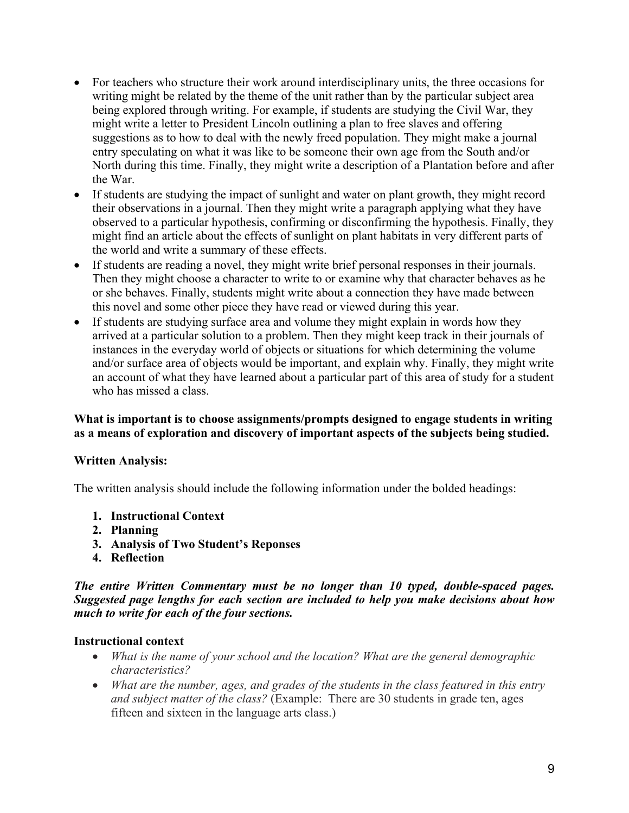- For teachers who structure their work around interdisciplinary units, the three occasions for writing might be related by the theme of the unit rather than by the particular subject area being explored through writing. For example, if students are studying the Civil War, they might write a letter to President Lincoln outlining a plan to free slaves and offering suggestions as to how to deal with the newly freed population. They might make a journal entry speculating on what it was like to be someone their own age from the South and/or North during this time. Finally, they might write a description of a Plantation before and after the War.
- If students are studying the impact of sunlight and water on plant growth, they might record their observations in a journal. Then they might write a paragraph applying what they have observed to a particular hypothesis, confirming or disconfirming the hypothesis. Finally, they might find an article about the effects of sunlight on plant habitats in very different parts of the world and write a summary of these effects.
- If students are reading a novel, they might write brief personal responses in their journals. Then they might choose a character to write to or examine why that character behaves as he or she behaves. Finally, students might write about a connection they have made between this novel and some other piece they have read or viewed during this year.
- If students are studying surface area and volume they might explain in words how they arrived at a particular solution to a problem. Then they might keep track in their journals of instances in the everyday world of objects or situations for which determining the volume and/or surface area of objects would be important, and explain why. Finally, they might write an account of what they have learned about a particular part of this area of study for a student who has missed a class.

### **What is important is to choose assignments/prompts designed to engage students in writing as a means of exploration and discovery of important aspects of the subjects being studied.**

## **Written Analysis:**

The written analysis should include the following information under the bolded headings:

- **1. Instructional Context**
- **2. Planning**
- **3. Analysis of Two Student's Reponses**
- **4. Reflection**

*The entire Written Commentary must be no longer than 10 typed, double-spaced pages. Suggested page lengths for each section are included to help you make decisions about how much to write for each of the four sections.* 

### **Instructional context**

- *What is the name of your school and the location? What are the general demographic characteristics?*
- *What are the number, ages, and grades of the students in the class featured in this entry and subject matter of the class?* (Example: There are 30 students in grade ten, ages fifteen and sixteen in the language arts class.)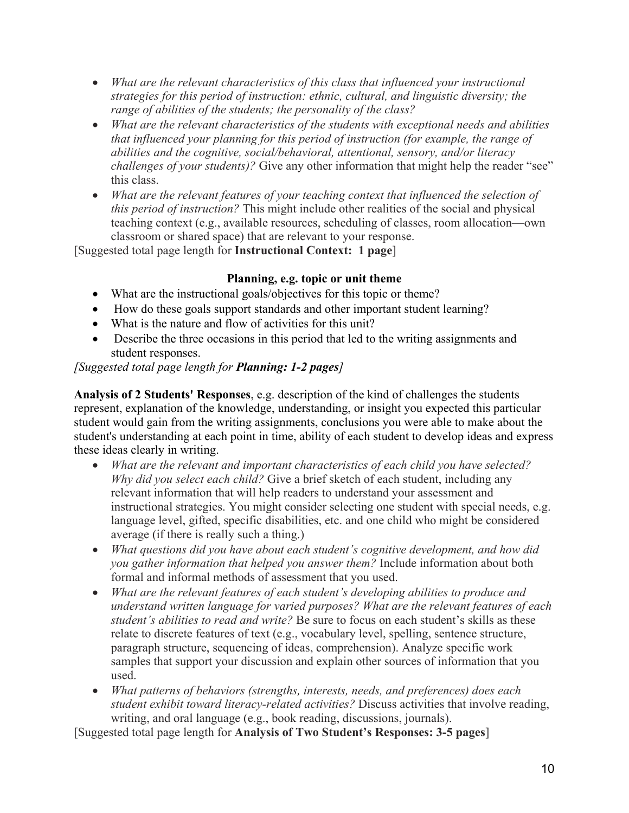- *What are the relevant characteristics of this class that influenced your instructional strategies for this period of instruction: ethnic, cultural, and linguistic diversity; the range of abilities of the students; the personality of the class?*
- *What are the relevant characteristics of the students with exceptional needs and abilities that influenced your planning for this period of instruction (for example, the range of abilities and the cognitive, social/behavioral, attentional, sensory, and/or literacy challenges of your students)?* Give any other information that might help the reader "see" this class.
- *What are the relevant features of your teaching context that influenced the selection of this period of instruction?* This might include other realities of the social and physical teaching context (e.g., available resources, scheduling of classes, room allocation—own classroom or shared space) that are relevant to your response.

[Suggested total page length for **Instructional Context: 1 page**]

# **Planning, e.g. topic or unit theme**

- What are the instructional goals/objectives for this topic or theme?
- How do these goals support standards and other important student learning?
- What is the nature and flow of activities for this unit?
- Describe the three occasions in this period that led to the writing assignments and student responses.

# *[Suggested total page length for Planning: 1-2 pages]*

**Analysis of 2 Students' Responses**, e.g. description of the kind of challenges the students represent, explanation of the knowledge, understanding, or insight you expected this particular student would gain from the writing assignments, conclusions you were able to make about the student's understanding at each point in time, ability of each student to develop ideas and express these ideas clearly in writing.

- *What are the relevant and important characteristics of each child you have selected? Why did you select each child?* Give a brief sketch of each student, including any relevant information that will help readers to understand your assessment and instructional strategies. You might consider selecting one student with special needs, e.g. language level, gifted, specific disabilities, etc. and one child who might be considered average (if there is really such a thing.)
- *What questions did you have about each student's cognitive development, and how did you gather information that helped you answer them?* Include information about both formal and informal methods of assessment that you used.
- *What are the relevant features of each student's developing abilities to produce and understand written language for varied purposes? What are the relevant features of each student's abilities to read and write?* Be sure to focus on each student's skills as these relate to discrete features of text (e.g., vocabulary level, spelling, sentence structure, paragraph structure, sequencing of ideas, comprehension). Analyze specific work samples that support your discussion and explain other sources of information that you used.
- *What patterns of behaviors (strengths, interests, needs, and preferences) does each student exhibit toward literacy-related activities?* Discuss activities that involve reading, writing, and oral language (e.g., book reading, discussions, journals).

[Suggested total page length for **Analysis of Two Student's Responses: 3-5 pages**]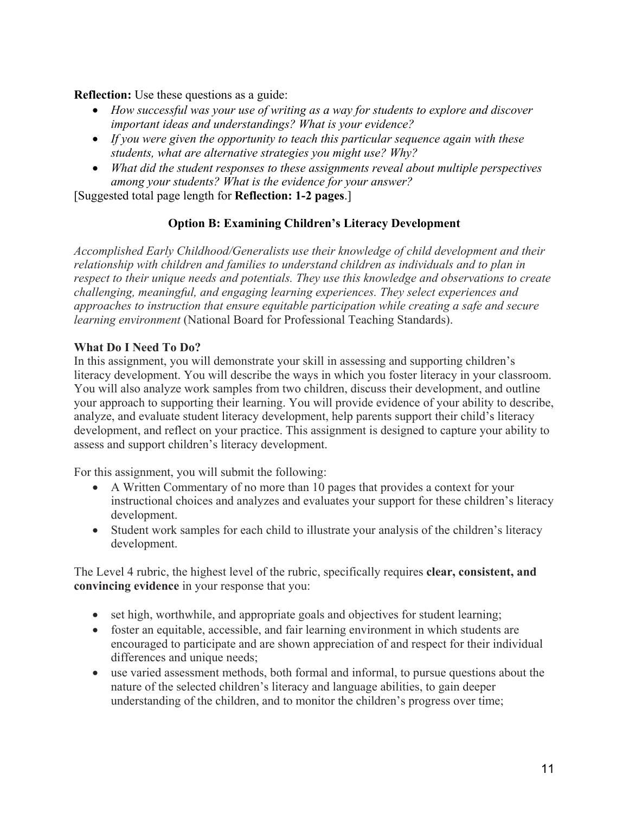**Reflection:** Use these questions as a guide:

- *How successful was your use of writing as a way for students to explore and discover important ideas and understandings? What is your evidence?*
- *If you were given the opportunity to teach this particular sequence again with these students, what are alternative strategies you might use? Why?*
- *What did the student responses to these assignments reveal about multiple perspectives among your students? What is the evidence for your answer?*

[Suggested total page length for **Reflection: 1-2 pages**.]

# **Option B: Examining Children's Literacy Development**

*Accomplished Early Childhood/Generalists use their knowledge of child development and their relationship with children and families to understand children as individuals and to plan in respect to their unique needs and potentials. They use this knowledge and observations to create challenging, meaningful, and engaging learning experiences. They select experiences and approaches to instruction that ensure equitable participation while creating a safe and secure learning environment* (National Board for Professional Teaching Standards).

## **What Do I Need To Do?**

In this assignment, you will demonstrate your skill in assessing and supporting children's literacy development. You will describe the ways in which you foster literacy in your classroom. You will also analyze work samples from two children, discuss their development, and outline your approach to supporting their learning. You will provide evidence of your ability to describe, analyze, and evaluate student literacy development, help parents support their child's literacy development, and reflect on your practice. This assignment is designed to capture your ability to assess and support children's literacy development.

For this assignment, you will submit the following:

- A Written Commentary of no more than 10 pages that provides a context for your instructional choices and analyzes and evaluates your support for these children's literacy development.
- Student work samples for each child to illustrate your analysis of the children's literacy development.

The Level 4 rubric, the highest level of the rubric, specifically requires **clear, consistent, and convincing evidence** in your response that you:

- set high, worthwhile, and appropriate goals and objectives for student learning;
- foster an equitable, accessible, and fair learning environment in which students are encouraged to participate and are shown appreciation of and respect for their individual differences and unique needs;
- use varied assessment methods, both formal and informal, to pursue questions about the nature of the selected children's literacy and language abilities, to gain deeper understanding of the children, and to monitor the children's progress over time;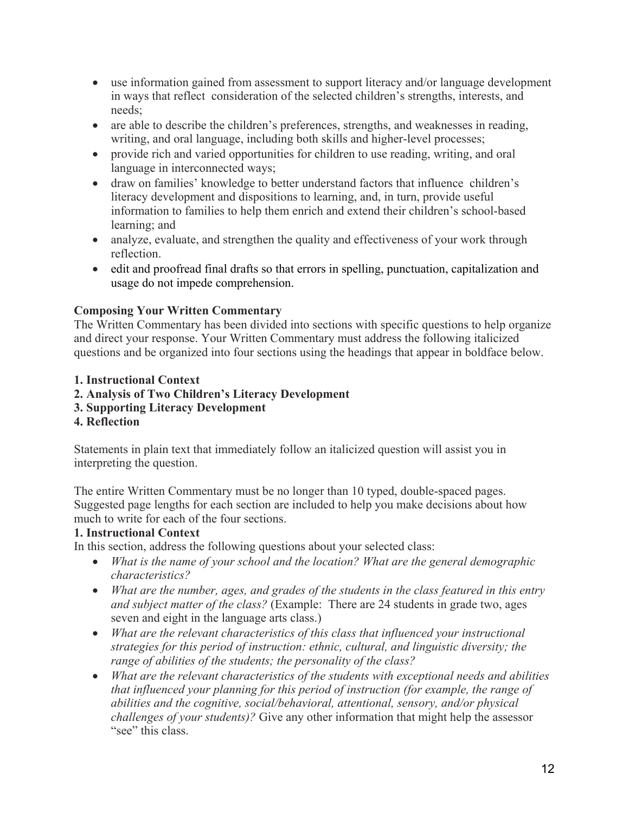- use information gained from assessment to support literacy and/or language development in ways that reflect consideration of the selected children's strengths, interests, and needs;
- are able to describe the children's preferences, strengths, and weaknesses in reading, writing, and oral language, including both skills and higher-level processes;
- provide rich and varied opportunities for children to use reading, writing, and oral language in interconnected ways;
- draw on families' knowledge to better understand factors that influence children's literacy development and dispositions to learning, and, in turn, provide useful information to families to help them enrich and extend their children's school-based learning; and
- analyze, evaluate, and strengthen the quality and effectiveness of your work through reflection.
- edit and proofread final drafts so that errors in spelling, punctuation, capitalization and usage do not impede comprehension.

# **Composing Your Written Commentary**

The Written Commentary has been divided into sections with specific questions to help organize and direct your response. Your Written Commentary must address the following italicized questions and be organized into four sections using the headings that appear in boldface below.

# **1. Instructional Context**

- **2. Analysis of Two Children's Literacy Development**
- **3. Supporting Literacy Development**
- **4. Reflection**

Statements in plain text that immediately follow an italicized question will assist you in interpreting the question.

The entire Written Commentary must be no longer than 10 typed, double-spaced pages. Suggested page lengths for each section are included to help you make decisions about how much to write for each of the four sections.

# **1. Instructional Context**

In this section, address the following questions about your selected class:

- *What is the name of your school and the location? What are the general demographic characteristics?*
- *What are the number, ages, and grades of the students in the class featured in this entry and subject matter of the class?* (Example: There are 24 students in grade two, ages seven and eight in the language arts class.)
- *What are the relevant characteristics of this class that influenced your instructional strategies for this period of instruction: ethnic, cultural, and linguistic diversity; the range of abilities of the students; the personality of the class?*
- *What are the relevant characteristics of the students with exceptional needs and abilities that influenced your planning for this period of instruction (for example, the range of abilities and the cognitive, social/behavioral, attentional, sensory, and/or physical challenges of your students)?* Give any other information that might help the assessor "see" this class.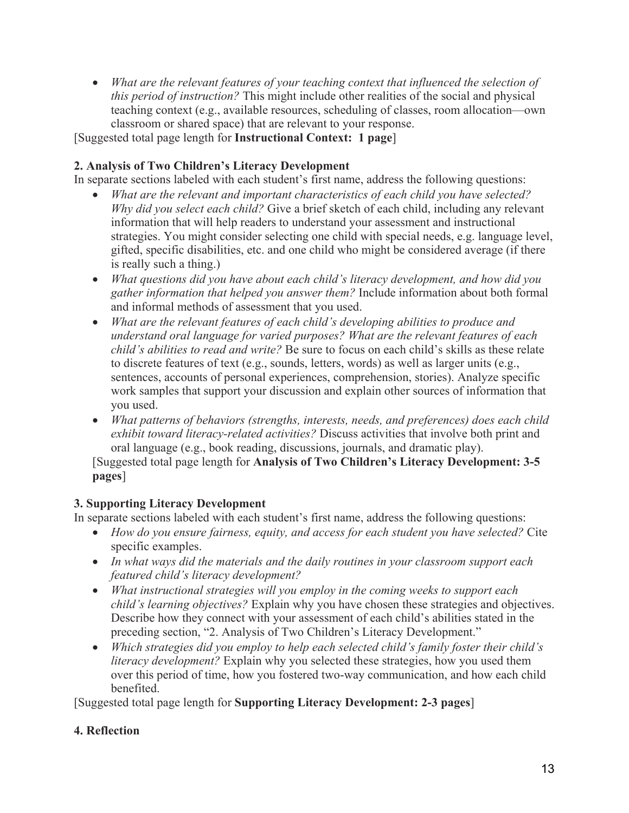• *What are the relevant features of your teaching context that influenced the selection of this period of instruction?* This might include other realities of the social and physical teaching context (e.g., available resources, scheduling of classes, room allocation—own classroom or shared space) that are relevant to your response.

[Suggested total page length for **Instructional Context: 1 page**]

# **2. Analysis of Two Children's Literacy Development**

In separate sections labeled with each student's first name, address the following questions:

- *What are the relevant and important characteristics of each child you have selected? Why did you select each child?* Give a brief sketch of each child, including any relevant information that will help readers to understand your assessment and instructional strategies. You might consider selecting one child with special needs, e.g. language level, gifted, specific disabilities, etc. and one child who might be considered average (if there is really such a thing.)
- *What questions did you have about each child's literacy development, and how did you gather information that helped you answer them?* Include information about both formal and informal methods of assessment that you used.
- *What are the relevant features of each child's developing abilities to produce and understand oral language for varied purposes? What are the relevant features of each child's abilities to read and write?* Be sure to focus on each child's skills as these relate to discrete features of text (e.g., sounds, letters, words) as well as larger units (e.g., sentences, accounts of personal experiences, comprehension, stories). Analyze specific work samples that support your discussion and explain other sources of information that you used.
- *What patterns of behaviors (strengths, interests, needs, and preferences) does each child exhibit toward literacy-related activities?* Discuss activities that involve both print and oral language (e.g., book reading, discussions, journals, and dramatic play).

[Suggested total page length for **Analysis of Two Children's Literacy Development: 3-5 pages**]

# **3. Supporting Literacy Development**

In separate sections labeled with each student's first name, address the following questions:

- *How do you ensure fairness, equity, and access for each student you have selected?* Cite specific examples.
- *In what ways did the materials and the daily routines in your classroom support each featured child's literacy development?*
- *What instructional strategies will you employ in the coming weeks to support each child's learning objectives?* Explain why you have chosen these strategies and objectives. Describe how they connect with your assessment of each child's abilities stated in the preceding section, "2. Analysis of Two Children's Literacy Development."
- *Which strategies did you employ to help each selected child's family foster their child's literacy development?* Explain why you selected these strategies, how you used them over this period of time, how you fostered two-way communication, and how each child benefited.

[Suggested total page length for **Supporting Literacy Development: 2-3 pages**]

# **4. Reflection**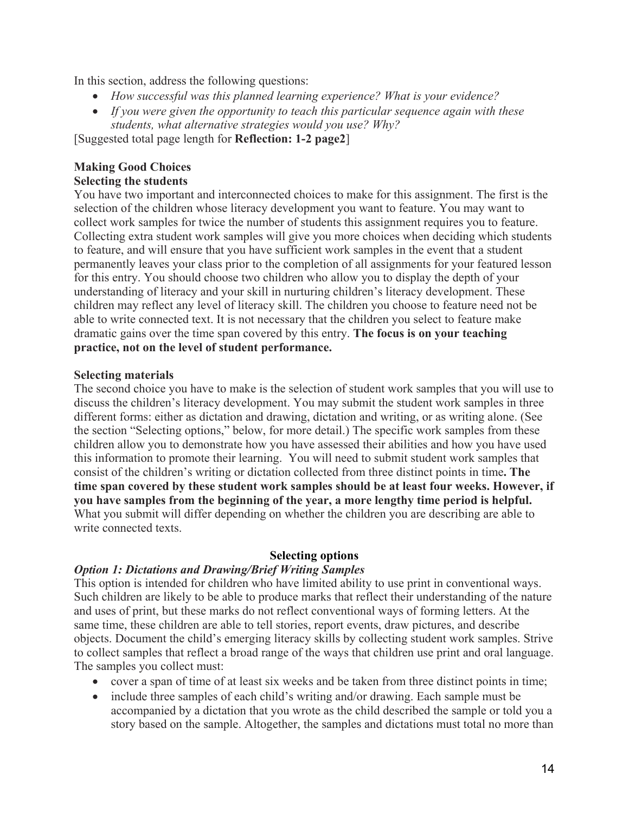In this section, address the following questions:

- *How successful was this planned learning experience? What is your evidence?*
- *If you were given the opportunity to teach this particular sequence again with these students, what alternative strategies would you use? Why?*

[Suggested total page length for **Reflection: 1-2 page2**]

### **Making Good Choices Selecting the students**

### You have two important and interconnected choices to make for this assignment. The first is the selection of the children whose literacy development you want to feature. You may want to collect work samples for twice the number of students this assignment requires you to feature. Collecting extra student work samples will give you more choices when deciding which students to feature, and will ensure that you have sufficient work samples in the event that a student permanently leaves your class prior to the completion of all assignments for your featured lesson for this entry. You should choose two children who allow you to display the depth of your understanding of literacy and your skill in nurturing children's literacy development. These children may reflect any level of literacy skill. The children you choose to feature need not be able to write connected text. It is not necessary that the children you select to feature make dramatic gains over the time span covered by this entry. **The focus is on your teaching practice, not on the level of student performance.**

### **Selecting materials**

The second choice you have to make is the selection of student work samples that you will use to discuss the children's literacy development. You may submit the student work samples in three different forms: either as dictation and drawing, dictation and writing, or as writing alone. (See the section "Selecting options," below, for more detail.) The specific work samples from these children allow you to demonstrate how you have assessed their abilities and how you have used this information to promote their learning. You will need to submit student work samples that consist of the children's writing or dictation collected from three distinct points in time**. The time span covered by these student work samples should be at least four weeks. However, if you have samples from the beginning of the year, a more lengthy time period is helpful.**  What you submit will differ depending on whether the children you are describing are able to write connected texts.

### **Selecting options**

## *Option 1: Dictations and Drawing/Brief Writing Samples*

This option is intended for children who have limited ability to use print in conventional ways. Such children are likely to be able to produce marks that reflect their understanding of the nature and uses of print, but these marks do not reflect conventional ways of forming letters. At the same time, these children are able to tell stories, report events, draw pictures, and describe objects. Document the child's emerging literacy skills by collecting student work samples. Strive to collect samples that reflect a broad range of the ways that children use print and oral language. The samples you collect must:

- cover a span of time of at least six weeks and be taken from three distinct points in time;
- include three samples of each child's writing and/or drawing. Each sample must be accompanied by a dictation that you wrote as the child described the sample or told you a story based on the sample. Altogether, the samples and dictations must total no more than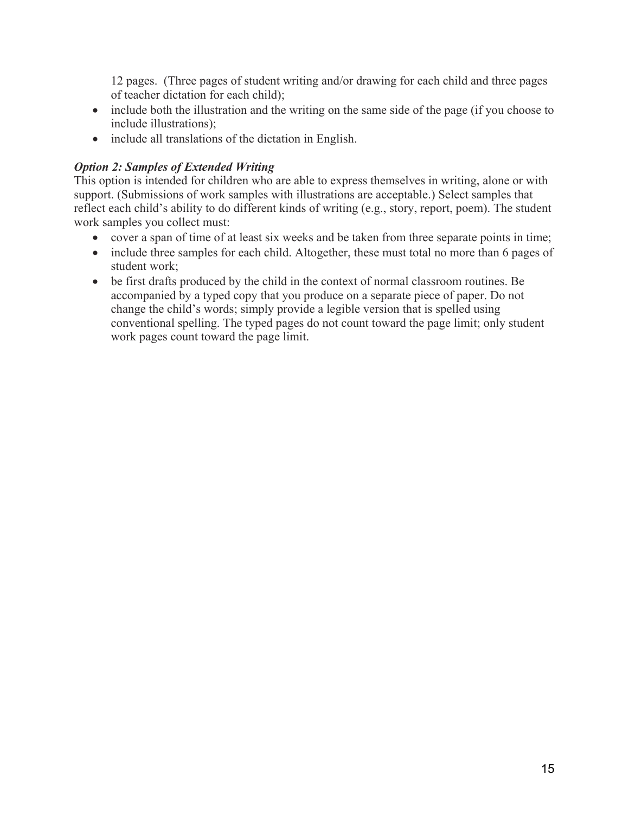12 pages. (Three pages of student writing and/or drawing for each child and three pages of teacher dictation for each child);

- include both the illustration and the writing on the same side of the page (if you choose to include illustrations);
- include all translations of the dictation in English.

# *Option 2: Samples of Extended Writing*

This option is intended for children who are able to express themselves in writing, alone or with support. (Submissions of work samples with illustrations are acceptable.) Select samples that reflect each child's ability to do different kinds of writing (e.g., story, report, poem). The student work samples you collect must:

- cover a span of time of at least six weeks and be taken from three separate points in time;
- include three samples for each child. Altogether, these must total no more than 6 pages of student work;
- be first drafts produced by the child in the context of normal classroom routines. Be accompanied by a typed copy that you produce on a separate piece of paper. Do not change the child's words; simply provide a legible version that is spelled using conventional spelling. The typed pages do not count toward the page limit; only student work pages count toward the page limit.